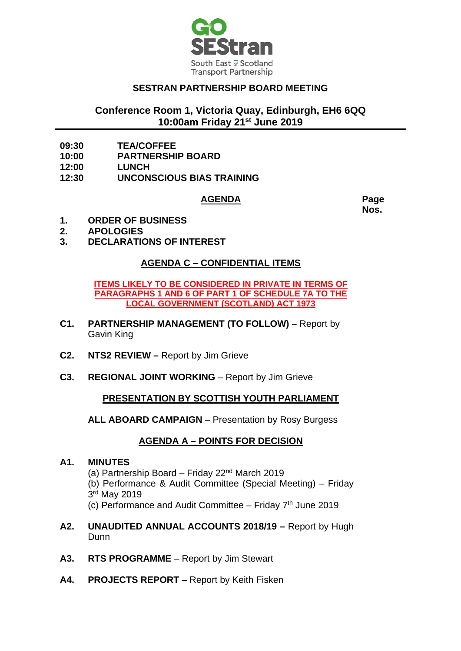

## **SESTRAN PARTNERSHIP BOARD MEETING**

# **Conference Room 1, Victoria Quay, Edinburgh, EH6 6QQ 10:00am Friday 21st June 2019**

- **09:30 TEA/COFFEE**
- **10:00 PARTNERSHIP BOARD**
- 
- **12:00 LUNCH 12:30 UNCONSCIOUS BIAS TRAINING**

#### **AGENDA Page**

**Nos.**

- **1. ORDER OF BUSINESS**
- **2. APOLOGIES**
- **3. DECLARATIONS OF INTEREST**

### **AGENDA C – CONFIDENTIAL ITEMS**

**ITEMS LIKELY TO BE CONSIDERED IN PRIVATE IN TERMS OF PARAGRAPHS 1 AND 6 OF PART 1 OF SCHEDULE 7A TO THE LOCAL GOVERNMENT (SCOTLAND) ACT 1973**

- **C1. PARTNERSHIP MANAGEMENT (TO FOLLOW) –** Report by Gavin King
- **C2. NTS2 REVIEW –** Report by Jim Grieve
- **C3. REGIONAL JOINT WORKING** Report by Jim Grieve

### **PRESENTATION BY SCOTTISH YOUTH PARLIAMENT**

**ALL ABOARD CAMPAIGN** – Presentation by Rosy Burgess

## **AGENDA A – POINTS FOR DECISION**

#### **A1. MINUTES**

- (a) Partnership Board Friday  $22<sup>nd</sup>$  March 2019
- (b) Performance & Audit Committee (Special Meeting) Friday 3rd May 2019
- (c) Performance and Audit Committee Friday  $7<sup>th</sup>$  June 2019
- **A2. UNAUDITED ANNUAL ACCOUNTS 2018/19 –** Report by Hugh Dunn
- **A3. RTS PROGRAMME**  Report by Jim Stewart
- A4. **PROJECTS REPORT** Report by Keith Fisken